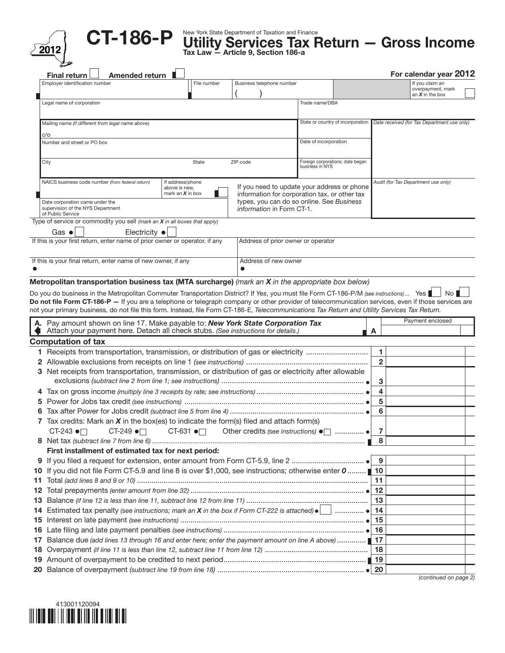



 $\text{C}$ T-186-P Utility Services Tax Return — Gross Income  $\text{Z}$  and  $\text{Z}$   $\text{Z}$  and  $\text{Z}$   $\text{Z}$  and  $\text{Z}$  and  $\text{Z}$  and  $\text{Z}$  and  $\text{Z}$  and  $\text{Z}$  and  $\text{Z}$  and  $\text{Z}$  and  $\text{Z}$  and  $\text{Z}$  and  $\text$ 

| Employer identification number<br>Business telephone number<br>File number<br>Legal name of corporation<br>Trade name/DBA<br>State or country of incorporation<br>Mailing name (if different from legal name above)<br>c/o<br>Date of incorporation<br>Number and street or PO box<br>Foreign corporations: date began<br>City<br>State<br>ZIP code<br>business in NYS<br>NAICS business code number (from federal return)<br>If address/phone<br>If you need to update your address or phone<br>above is new,<br>mark an $X$ in box<br>information for corporation tax, or other tax<br>types, you can do so online. See Business<br>Date corporation came under the<br>supervision of the NYS Department<br><i>information</i> in Form CT-1.<br>of Public Service<br>Type of service or commodity you sell (mark an X in all boxes that apply)<br>Gas $\bullet$<br>Electricity $\bullet$<br>If this is your first return, enter name of prior owner or operator, if any<br>Address of prior owner or operator<br>If this is your final return, enter name of new owner, if any<br>Address of new owner<br>Metropolitan transportation business tax (MTA surcharge) (mark an X in the appropriate box below)<br>Do you do business in the Metropolitan Commuter Transportation District? If Yes, you must file Form CT-186-P/M (see instructions) Yes<br>Do not file Form CT-186-P - If you are a telephone or telegraph company or other provider of telecommunication services, even if those services are<br>not your primary business, do not file this form. Instead, file Form CT-186-E, Telecommunications Tax Return and Utility Services Tax Return.<br>A. Pay amount shown on line 17. Make payable to: New York State Corporation Tax<br>Attach your payment here. Detach all check stubs. (See instructions for details.)<br>A<br><b>Computation of tax</b><br>1 Receipts from transportation, transmission, or distribution of gas or electricity<br>3 Net receipts from transportation, transmission, or distribution of gas or electricity after allowable | If you claim an<br>overpayment, mark<br>an $X$ in the box<br>Date received (for Tax Department use only)<br>Audit (for Tax Department use only)<br>Payment enclosed |
|----------------------------------------------------------------------------------------------------------------------------------------------------------------------------------------------------------------------------------------------------------------------------------------------------------------------------------------------------------------------------------------------------------------------------------------------------------------------------------------------------------------------------------------------------------------------------------------------------------------------------------------------------------------------------------------------------------------------------------------------------------------------------------------------------------------------------------------------------------------------------------------------------------------------------------------------------------------------------------------------------------------------------------------------------------------------------------------------------------------------------------------------------------------------------------------------------------------------------------------------------------------------------------------------------------------------------------------------------------------------------------------------------------------------------------------------------------------------------------------------------------------------------------------------------------------------------------------------------------------------------------------------------------------------------------------------------------------------------------------------------------------------------------------------------------------------------------------------------------------------------------------------------------------------------------------------------------------------------------------------------------------------------------------------------------------------------|---------------------------------------------------------------------------------------------------------------------------------------------------------------------|
|                                                                                                                                                                                                                                                                                                                                                                                                                                                                                                                                                                                                                                                                                                                                                                                                                                                                                                                                                                                                                                                                                                                                                                                                                                                                                                                                                                                                                                                                                                                                                                                                                                                                                                                                                                                                                                                                                                                                                                                                                                                                            |                                                                                                                                                                     |
|                                                                                                                                                                                                                                                                                                                                                                                                                                                                                                                                                                                                                                                                                                                                                                                                                                                                                                                                                                                                                                                                                                                                                                                                                                                                                                                                                                                                                                                                                                                                                                                                                                                                                                                                                                                                                                                                                                                                                                                                                                                                            |                                                                                                                                                                     |
|                                                                                                                                                                                                                                                                                                                                                                                                                                                                                                                                                                                                                                                                                                                                                                                                                                                                                                                                                                                                                                                                                                                                                                                                                                                                                                                                                                                                                                                                                                                                                                                                                                                                                                                                                                                                                                                                                                                                                                                                                                                                            |                                                                                                                                                                     |
|                                                                                                                                                                                                                                                                                                                                                                                                                                                                                                                                                                                                                                                                                                                                                                                                                                                                                                                                                                                                                                                                                                                                                                                                                                                                                                                                                                                                                                                                                                                                                                                                                                                                                                                                                                                                                                                                                                                                                                                                                                                                            |                                                                                                                                                                     |
|                                                                                                                                                                                                                                                                                                                                                                                                                                                                                                                                                                                                                                                                                                                                                                                                                                                                                                                                                                                                                                                                                                                                                                                                                                                                                                                                                                                                                                                                                                                                                                                                                                                                                                                                                                                                                                                                                                                                                                                                                                                                            |                                                                                                                                                                     |
|                                                                                                                                                                                                                                                                                                                                                                                                                                                                                                                                                                                                                                                                                                                                                                                                                                                                                                                                                                                                                                                                                                                                                                                                                                                                                                                                                                                                                                                                                                                                                                                                                                                                                                                                                                                                                                                                                                                                                                                                                                                                            |                                                                                                                                                                     |
|                                                                                                                                                                                                                                                                                                                                                                                                                                                                                                                                                                                                                                                                                                                                                                                                                                                                                                                                                                                                                                                                                                                                                                                                                                                                                                                                                                                                                                                                                                                                                                                                                                                                                                                                                                                                                                                                                                                                                                                                                                                                            |                                                                                                                                                                     |
|                                                                                                                                                                                                                                                                                                                                                                                                                                                                                                                                                                                                                                                                                                                                                                                                                                                                                                                                                                                                                                                                                                                                                                                                                                                                                                                                                                                                                                                                                                                                                                                                                                                                                                                                                                                                                                                                                                                                                                                                                                                                            |                                                                                                                                                                     |
|                                                                                                                                                                                                                                                                                                                                                                                                                                                                                                                                                                                                                                                                                                                                                                                                                                                                                                                                                                                                                                                                                                                                                                                                                                                                                                                                                                                                                                                                                                                                                                                                                                                                                                                                                                                                                                                                                                                                                                                                                                                                            |                                                                                                                                                                     |
|                                                                                                                                                                                                                                                                                                                                                                                                                                                                                                                                                                                                                                                                                                                                                                                                                                                                                                                                                                                                                                                                                                                                                                                                                                                                                                                                                                                                                                                                                                                                                                                                                                                                                                                                                                                                                                                                                                                                                                                                                                                                            |                                                                                                                                                                     |
|                                                                                                                                                                                                                                                                                                                                                                                                                                                                                                                                                                                                                                                                                                                                                                                                                                                                                                                                                                                                                                                                                                                                                                                                                                                                                                                                                                                                                                                                                                                                                                                                                                                                                                                                                                                                                                                                                                                                                                                                                                                                            |                                                                                                                                                                     |
|                                                                                                                                                                                                                                                                                                                                                                                                                                                                                                                                                                                                                                                                                                                                                                                                                                                                                                                                                                                                                                                                                                                                                                                                                                                                                                                                                                                                                                                                                                                                                                                                                                                                                                                                                                                                                                                                                                                                                                                                                                                                            |                                                                                                                                                                     |
|                                                                                                                                                                                                                                                                                                                                                                                                                                                                                                                                                                                                                                                                                                                                                                                                                                                                                                                                                                                                                                                                                                                                                                                                                                                                                                                                                                                                                                                                                                                                                                                                                                                                                                                                                                                                                                                                                                                                                                                                                                                                            |                                                                                                                                                                     |
|                                                                                                                                                                                                                                                                                                                                                                                                                                                                                                                                                                                                                                                                                                                                                                                                                                                                                                                                                                                                                                                                                                                                                                                                                                                                                                                                                                                                                                                                                                                                                                                                                                                                                                                                                                                                                                                                                                                                                                                                                                                                            |                                                                                                                                                                     |
|                                                                                                                                                                                                                                                                                                                                                                                                                                                                                                                                                                                                                                                                                                                                                                                                                                                                                                                                                                                                                                                                                                                                                                                                                                                                                                                                                                                                                                                                                                                                                                                                                                                                                                                                                                                                                                                                                                                                                                                                                                                                            |                                                                                                                                                                     |
|                                                                                                                                                                                                                                                                                                                                                                                                                                                                                                                                                                                                                                                                                                                                                                                                                                                                                                                                                                                                                                                                                                                                                                                                                                                                                                                                                                                                                                                                                                                                                                                                                                                                                                                                                                                                                                                                                                                                                                                                                                                                            |                                                                                                                                                                     |
|                                                                                                                                                                                                                                                                                                                                                                                                                                                                                                                                                                                                                                                                                                                                                                                                                                                                                                                                                                                                                                                                                                                                                                                                                                                                                                                                                                                                                                                                                                                                                                                                                                                                                                                                                                                                                                                                                                                                                                                                                                                                            |                                                                                                                                                                     |
|                                                                                                                                                                                                                                                                                                                                                                                                                                                                                                                                                                                                                                                                                                                                                                                                                                                                                                                                                                                                                                                                                                                                                                                                                                                                                                                                                                                                                                                                                                                                                                                                                                                                                                                                                                                                                                                                                                                                                                                                                                                                            | $\mathbf{1}$                                                                                                                                                        |
|                                                                                                                                                                                                                                                                                                                                                                                                                                                                                                                                                                                                                                                                                                                                                                                                                                                                                                                                                                                                                                                                                                                                                                                                                                                                                                                                                                                                                                                                                                                                                                                                                                                                                                                                                                                                                                                                                                                                                                                                                                                                            | $\mathbf{2}$                                                                                                                                                        |
|                                                                                                                                                                                                                                                                                                                                                                                                                                                                                                                                                                                                                                                                                                                                                                                                                                                                                                                                                                                                                                                                                                                                                                                                                                                                                                                                                                                                                                                                                                                                                                                                                                                                                                                                                                                                                                                                                                                                                                                                                                                                            | 3                                                                                                                                                                   |
|                                                                                                                                                                                                                                                                                                                                                                                                                                                                                                                                                                                                                                                                                                                                                                                                                                                                                                                                                                                                                                                                                                                                                                                                                                                                                                                                                                                                                                                                                                                                                                                                                                                                                                                                                                                                                                                                                                                                                                                                                                                                            | 4                                                                                                                                                                   |
|                                                                                                                                                                                                                                                                                                                                                                                                                                                                                                                                                                                                                                                                                                                                                                                                                                                                                                                                                                                                                                                                                                                                                                                                                                                                                                                                                                                                                                                                                                                                                                                                                                                                                                                                                                                                                                                                                                                                                                                                                                                                            | 5                                                                                                                                                                   |
|                                                                                                                                                                                                                                                                                                                                                                                                                                                                                                                                                                                                                                                                                                                                                                                                                                                                                                                                                                                                                                                                                                                                                                                                                                                                                                                                                                                                                                                                                                                                                                                                                                                                                                                                                                                                                                                                                                                                                                                                                                                                            | 6                                                                                                                                                                   |
| 7 Tax credits: Mark an $X$ in the box(es) to indicate the form(s) filed and attach form(s)                                                                                                                                                                                                                                                                                                                                                                                                                                                                                                                                                                                                                                                                                                                                                                                                                                                                                                                                                                                                                                                                                                                                                                                                                                                                                                                                                                                                                                                                                                                                                                                                                                                                                                                                                                                                                                                                                                                                                                                 |                                                                                                                                                                     |
| CT-243 •□<br>CT-249 •□<br>CT-631 •□<br>Other credits (see instructions) ● □  ●                                                                                                                                                                                                                                                                                                                                                                                                                                                                                                                                                                                                                                                                                                                                                                                                                                                                                                                                                                                                                                                                                                                                                                                                                                                                                                                                                                                                                                                                                                                                                                                                                                                                                                                                                                                                                                                                                                                                                                                             | 7                                                                                                                                                                   |
|                                                                                                                                                                                                                                                                                                                                                                                                                                                                                                                                                                                                                                                                                                                                                                                                                                                                                                                                                                                                                                                                                                                                                                                                                                                                                                                                                                                                                                                                                                                                                                                                                                                                                                                                                                                                                                                                                                                                                                                                                                                                            | 8                                                                                                                                                                   |
| First installment of estimated tax for next period:                                                                                                                                                                                                                                                                                                                                                                                                                                                                                                                                                                                                                                                                                                                                                                                                                                                                                                                                                                                                                                                                                                                                                                                                                                                                                                                                                                                                                                                                                                                                                                                                                                                                                                                                                                                                                                                                                                                                                                                                                        |                                                                                                                                                                     |
| 9                                                                                                                                                                                                                                                                                                                                                                                                                                                                                                                                                                                                                                                                                                                                                                                                                                                                                                                                                                                                                                                                                                                                                                                                                                                                                                                                                                                                                                                                                                                                                                                                                                                                                                                                                                                                                                                                                                                                                                                                                                                                          | 9                                                                                                                                                                   |
| If you did not file Form CT-5.9 and line 8 is over \$1,000, see instructions; otherwise enter 0<br>10                                                                                                                                                                                                                                                                                                                                                                                                                                                                                                                                                                                                                                                                                                                                                                                                                                                                                                                                                                                                                                                                                                                                                                                                                                                                                                                                                                                                                                                                                                                                                                                                                                                                                                                                                                                                                                                                                                                                                                      |                                                                                                                                                                     |
| 11                                                                                                                                                                                                                                                                                                                                                                                                                                                                                                                                                                                                                                                                                                                                                                                                                                                                                                                                                                                                                                                                                                                                                                                                                                                                                                                                                                                                                                                                                                                                                                                                                                                                                                                                                                                                                                                                                                                                                                                                                                                                         | 11                                                                                                                                                                  |
| 12                                                                                                                                                                                                                                                                                                                                                                                                                                                                                                                                                                                                                                                                                                                                                                                                                                                                                                                                                                                                                                                                                                                                                                                                                                                                                                                                                                                                                                                                                                                                                                                                                                                                                                                                                                                                                                                                                                                                                                                                                                                                         | 12                                                                                                                                                                  |
| 13                                                                                                                                                                                                                                                                                                                                                                                                                                                                                                                                                                                                                                                                                                                                                                                                                                                                                                                                                                                                                                                                                                                                                                                                                                                                                                                                                                                                                                                                                                                                                                                                                                                                                                                                                                                                                                                                                                                                                                                                                                                                         | 13                                                                                                                                                                  |
| Estimated tax penalty (see instructions; mark an X in the box if Form CT-222 is attached) $\bullet$ $\Box$<br>14                                                                                                                                                                                                                                                                                                                                                                                                                                                                                                                                                                                                                                                                                                                                                                                                                                                                                                                                                                                                                                                                                                                                                                                                                                                                                                                                                                                                                                                                                                                                                                                                                                                                                                                                                                                                                                                                                                                                                           | 14<br>15                                                                                                                                                            |
| 15                                                                                                                                                                                                                                                                                                                                                                                                                                                                                                                                                                                                                                                                                                                                                                                                                                                                                                                                                                                                                                                                                                                                                                                                                                                                                                                                                                                                                                                                                                                                                                                                                                                                                                                                                                                                                                                                                                                                                                                                                                                                         |                                                                                                                                                                     |
| 16<br>Balance due (add lines 13 through 16 and enter here; enter the payment amount on line A above) ■ 17<br>17                                                                                                                                                                                                                                                                                                                                                                                                                                                                                                                                                                                                                                                                                                                                                                                                                                                                                                                                                                                                                                                                                                                                                                                                                                                                                                                                                                                                                                                                                                                                                                                                                                                                                                                                                                                                                                                                                                                                                            |                                                                                                                                                                     |
| 18                                                                                                                                                                                                                                                                                                                                                                                                                                                                                                                                                                                                                                                                                                                                                                                                                                                                                                                                                                                                                                                                                                                                                                                                                                                                                                                                                                                                                                                                                                                                                                                                                                                                                                                                                                                                                                                                                                                                                                                                                                                                         |                                                                                                                                                                     |
|                                                                                                                                                                                                                                                                                                                                                                                                                                                                                                                                                                                                                                                                                                                                                                                                                                                                                                                                                                                                                                                                                                                                                                                                                                                                                                                                                                                                                                                                                                                                                                                                                                                                                                                                                                                                                                                                                                                                                                                                                                                                            |                                                                                                                                                                     |
| 19                                                                                                                                                                                                                                                                                                                                                                                                                                                                                                                                                                                                                                                                                                                                                                                                                                                                                                                                                                                                                                                                                                                                                                                                                                                                                                                                                                                                                                                                                                                                                                                                                                                                                                                                                                                                                                                                                                                                                                                                                                                                         | 18                                                                                                                                                                  |

*(continued on page 2)*